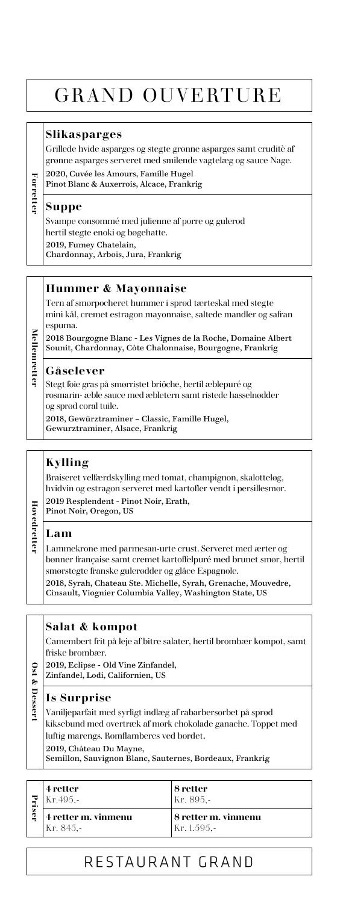## GRAND OUVERTURE

#### **Slikasparges**

Grillede hvide asparges og stegte grønne asparges samt cruditè af grønne asparges serveret med smilende vagtelæg og sauce Nage.

2020, Cuvée les Amours, Famille Hugel Pinot Blanc & Auxerrois, Alcace, Frankrig

#### **Suppe**

**Forretter**

Forrette:

**Mellemretter**

**Mellemrette** 

Svampe consommé med julienne af porre og gulerod hertil stegte enoki og bøgehatte. 2019, Fumey Chatelain, Chardonnay, Arbois, Jura, Frankrig

#### **Hummer & Mayonnaise**

Tern af smørpocheret hummer i sprød tærteskal med stegte mini kål, cremet estragon mayonnaise, saltede mandler og safran espuma. 2018 Bourgogne Blanc - Les Vignes de la Roche, Domaine Albert Sounit, Chardonnay, Côte Chalonnaise, Bourgogne, Frankrig

#### **Gåselever**

Stegt foie gras på smørristet briôche, hertil æblepuré og rosmarin- æble sauce med æbletern samt ristede hasselnødder og sprød coral tuile.

2018, Gewürztraminer – Classic, Famille Hugel, Gewurztraminer, Alsace, Frankrig

#### **Kylling**

Braiseret velfærdskylling med tomat, champignon, skalotteløg, hvidvin og estragon serveret med kartofler vendt i persillesmør.

2019 Resplendent - Pinot Noir, Erath, Pinot Noir, Oregon, US

#### **Lam**

**Hovedretter**

Hovedrette

Lammekrone med parmesan-urte crust. Serveret med ærter og bønner française samt cremet kartoffelpuré med brunet smør, hertil smørstegte franske gulerødder og glâce Espagnole. 2018, Syrah, Chateau Ste. Michelle, Syrah, Grenache, Mouvedre, Cinsault, Viognier Columbia Valley, Washington State, US

#### **Salat & kompot**

Camembert frit på leje af bitre salater, hertil brombær kompot, samt friske brombær.

- 2019, Eclipse Old Vine Zinfandel, **Ust & Desser Ost & Dessert**
	- Zinfandel, Lodi, Californien, US

#### **Is Surprise**

Vaniljeparfait med syrligt indlæg af rabarbersorbet på sprød kiksebund med overtræk af mørk chokolade ganache. Toppet med luftig marengs. Romflamberes ved bordet.

2019, Château Du Mayne,

Semillon, Sauvignon Blanc, Sauternes, Bordeaux, Frankrig

|   | 4 retter<br>Kr.495,-             | 8 retter<br>Kr. 895,-              |
|---|----------------------------------|------------------------------------|
| c | 4 retter m. vinmenu<br>Kr. 845.- | 8 retter m. vinmenu<br>Kr. 1.595.- |

### RESTAURANT GRAND